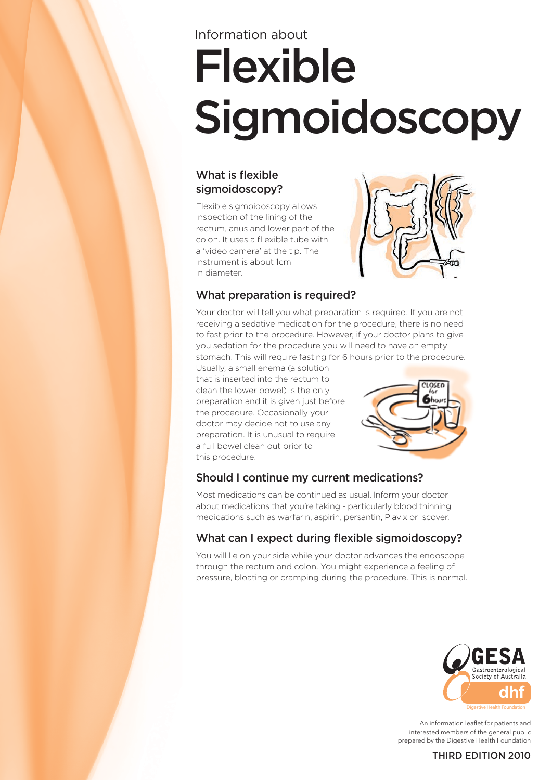# Flexible Sigmoidoscopy Information about

### What is flexible sigmoidoscopy?

Flexible sigmoidoscopy allows inspection of the lining of the rectum, anus and lower part of the colon. It uses a fl exible tube with a 'video camera' at the tip. The instrument is about 1cm in diameter.



# What preparation is required?

Your doctor will tell you what preparation is required. If you are not receiving a sedative medication for the procedure, there is no need to fast prior to the procedure. However, if your doctor plans to give you sedation for the procedure you will need to have an empty

stomach. This will require fasting for 6 hours prior to the procedure.

Usually, a small enema (a solution that is inserted into the rectum to clean the lower bowel) is the only preparation and it is given just before the procedure. Occasionally your doctor may decide not to use any preparation. It is unusual to require a full bowel clean out prior to this procedure.



# Should I continue my current medications?

Most medications can be continued as usual. Inform your doctor about medications that you're taking - particularly blood thinning medications such as warfarin, aspirin, persantin, Plavix or Iscover.

# What can I expect during flexible sigmoidoscopy?

You will lie on your side while your doctor advances the endoscope through the rectum and colon. You might experience a feeling of pressure, bloating or cramping during the procedure. This is normal.



An information leaflet for patients and interested members of the general public prepared by the Digestive Health Foundation

#### THIRD EDITION 2010